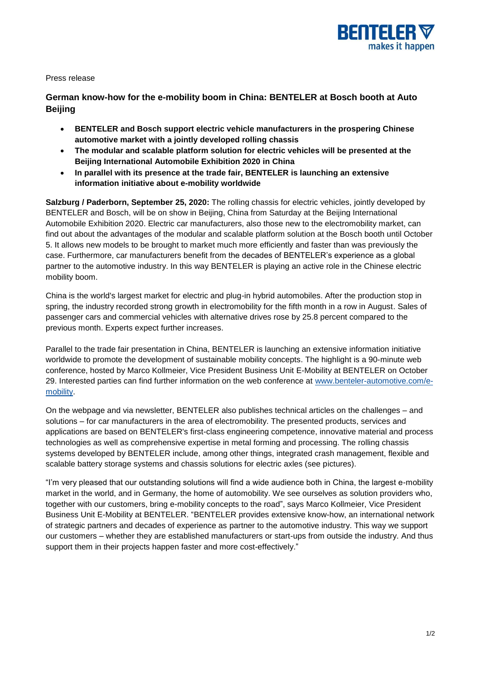

Press release

**German know-how for the e-mobility boom in China: BENTELER at Bosch booth at Auto Beijing**

- **BENTELER and Bosch support electric vehicle manufacturers in the prospering Chinese automotive market with a jointly developed rolling chassis**
- **The modular and scalable platform solution for electric vehicles will be presented at the Beijing International Automobile Exhibition 2020 in China**
- **In parallel with its presence at the trade fair, BENTELER is launching an extensive information initiative about e-mobility worldwide**

**Salzburg / Paderborn, September 25, 2020:** The rolling chassis for electric vehicles, jointly developed by BENTELER and Bosch, will be on show in Beijing, China from Saturday at the Beijing International Automobile Exhibition 2020. Electric car manufacturers, also those new to the electromobility market, can find out about the advantages of the modular and scalable platform solution at the Bosch booth until October 5. It allows new models to be brought to market much more efficiently and faster than was previously the case. Furthermore, car manufacturers benefit from the decades of BENTELER's experience as a global partner to the automotive industry. In this way BENTELER is playing an active role in the Chinese electric mobility boom.

China is the world's largest market for electric and plug-in hybrid automobiles. After the production stop in spring, the industry recorded strong growth in electromobility for the fifth month in a row in August. Sales of passenger cars and commercial vehicles with alternative drives rose by 25.8 percent compared to the previous month. Experts expect further increases.

Parallel to the trade fair presentation in China, BENTELER is launching an extensive information initiative worldwide to promote the development of sustainable mobility concepts. The highlight is a 90-minute web conference, hosted by Marco Kollmeier, Vice President Business Unit E-Mobility at BENTELER on October 29. Interested parties can find further information on the web conference at [www.benteler-automotive.com/e](http://www.benteler-automotive.com/e-mobility)[mobility.](http://www.benteler-automotive.com/e-mobility)

On the webpage and via newsletter, BENTELER also publishes technical articles on the challenges – and solutions – for car manufacturers in the area of electromobility. The presented products, services and applications are based on BENTELER's first-class engineering competence, innovative material and process technologies as well as comprehensive expertise in metal forming and processing. The rolling chassis systems developed by BENTELER include, among other things, integrated crash management, flexible and scalable battery storage systems and chassis solutions for electric axles (see pictures).

"I'm very pleased that our outstanding solutions will find a wide audience both in China, the largest e-mobility market in the world, and in Germany, the home of automobility. We see ourselves as solution providers who, together with our customers, bring e-mobility concepts to the road", says Marco Kollmeier, Vice President Business Unit E-Mobility at BENTELER. "BENTELER provides extensive know-how, an international network of strategic partners and decades of experience as partner to the automotive industry. This way we support our customers – whether they are established manufacturers or start-ups from outside the industry. And thus support them in their projects happen faster and more cost-effectively."